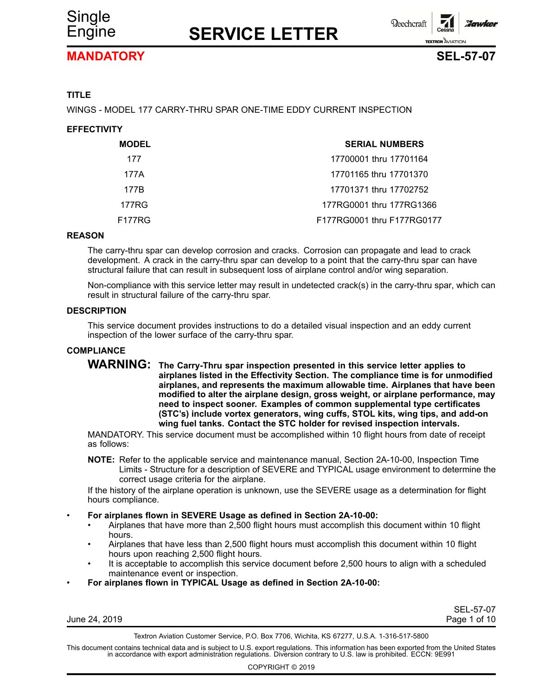



## **MANDATORY SEL-57-07**



## **TITLE**

WINGS - MODEL 177 CARRY-THRU SPAR ONE-TIME EDDY CURRENT INSPECTION

## **EFFECTIVITY**

| <b>MODEL</b> | <b>SERIAL NUMBERS</b>      |
|--------------|----------------------------|
| 177          | 17700001 thru 17701164     |
| 177A         | 17701165 thru 17701370     |
| 177B         | 17701371 thru 17702752     |
| 177RG        | 177RG0001 thru 177RG1366   |
| F177RG       | F177RG0001 thru F177RG0177 |

#### **REASON**

The carry-thru spar can develop corrosion and cracks. Corrosion can propagate and lead to crack development. A crack in the carry-thru spar can develop to <sup>a</sup> point that the carry-thru spar can have structural failure that can result in subsequent loss of airplane control and/or wing separation.

Non-compliance with this service letter may result in undetected crack(s) in the carry-thru spar, which can result in structural failure of the carry-thru spar.

#### **DESCRIPTION**

This service document provides instructions to do <sup>a</sup> detailed visual inspection and an eddy current inspection of the lower surface of the carry-thru spar.

### **COMPLIANCE**

**WARNING: The Carry-Thru spar inspection presented in this service letter applies to airplanes listed in the Effectivity Section. The compliance time is for unmodified airplanes, and represents the maximum allowable time. Airplanes that have been modified to alter the airplane design, gross weight, or airplane performance, may need to inspect sooner. Examples of common supplemental type certificates (STC's) include vortex generators, wing cuffs, STOL kits, wing tips, and add-on wing fuel tanks. Contact the STC holder for revised inspection intervals.**

MANDATORY. This service document must be accomplished within 10 flight hours from date of receipt as follows:

**NOTE:** Refer to the applicable service and maintenance manual, Section 2A-10-00, Inspection Time Limits - Structure for <sup>a</sup> description of SEVERE and TYPICAL usage environment to determine the correct usage criteria for the airplane.

If the history of the airplane operation is unknown, use the SEVERE usage as <sup>a</sup> determination for flight hours compliance.

- • **For airplanes flown in SEVERE Usage as defined in Section 2A-10-00:**
	- • Airplanes that have more than 2,500 flight hours must accomplish this document within 10 flight hours.
	- • Airplanes that have less than 2,500 flight hours must accomplish this document within 10 flight hours upon reaching 2,500 flight hours.
	- • It is acceptable to accomplish this service document before 2,500 hours to align with <sup>a</sup> scheduled maintenance event or inspection.
- •**For airplanes flown in TYPICAL Usage as defined in Section 2A-10-00:**

SEL-57-07 Page 1 of 10

Textron Aviation Customer Service, P.O. Box 7706, Wichita, KS 67277, U.S.A. 1-316-517-5800

This document contains technical data and is subject to U.S. export regulations. This information has been exported from the United States<br>in accordance with export administration regulations. Diversion contrary to U.S. la

COPYRIGHT © 2019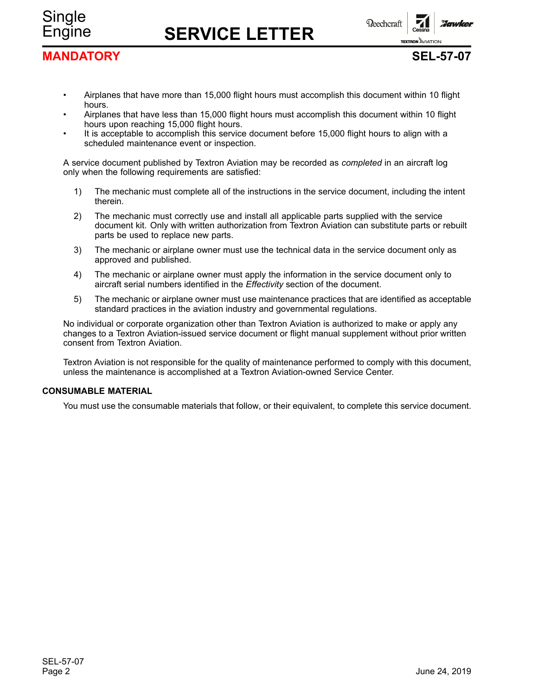

**TEXTRON AVIATION** 

# **MANDATORY SEL-57-07**

Single

- • Airplanes that have more than 15,000 flight hours must accomplish this document within 10 flight hours.
- • Airplanes that have less than 15,000 flight hours must accomplish this document within 10 flight hours upon reaching 15,000 flight hours.
- • It is acceptable to accomplish this service document before 15,000 flight hours to align with <sup>a</sup> scheduled maintenance event or inspection.

A service document published by Textron Aviation may be recorded as *completed* in an aircraft log only when the following requirements are satisfied:

- 1) The mechanic must complete all of the instructions in the service document, including the intent therein.
- 2) The mechanic must correctly use and install all applicable parts supplied with the service document kit. Only with written authorization from Textron Aviation can substitute parts or rebuilt parts be used to replace new parts.
- 3) The mechanic or airplane owner must use the technical data in the service document only as approved and published.
- 4) The mechanic or airplane owner must apply the information in the service document only to aircraft serial numbers identified in the *Effectivity* section of the document.
- 5) The mechanic or airplane owner must use maintenance practices that are identified as acceptable standard practices in the aviation industry and governmental regulations.

No individual or corporate organization other than Textron Aviation is authorized to make or apply any changes to <sup>a</sup> Textron Aviation-issued service document or flight manual supplement without prior written consent from Textron Aviation.

Textron Aviation is not responsible for the quality of maintenance performed to comply with this document, unless the maintenance is accomplished at <sup>a</sup> Textron Aviation-owned Service Center.

### **CONSUMABLE MATERIAL**

You must use the consumable materials that follow, or their equivalent, to complete this service document.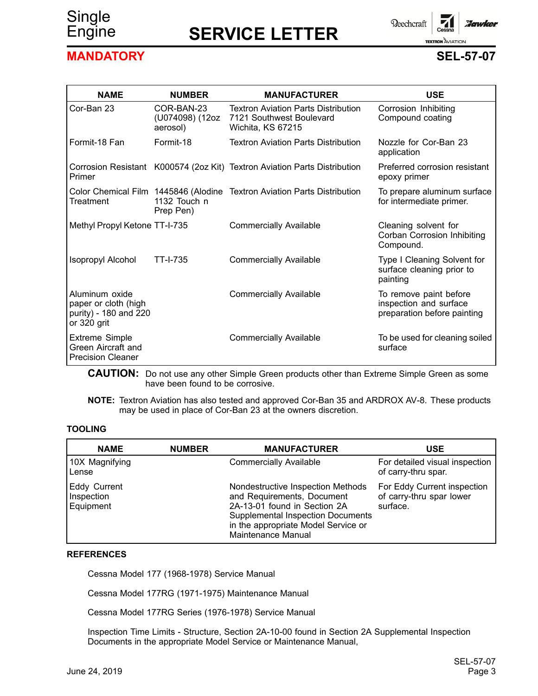# Single

# Engine **SERVICE LETTER**

**Beechcraft** 'Jawker **TEXTRON** AVIATION

# **MANDATORY SEL-57-07**

| <b>NAME</b>                                                                    | <b>NUMBER</b>                             | <b>MANUFACTURER</b>                                                                         | <b>USE</b>                                                                      |
|--------------------------------------------------------------------------------|-------------------------------------------|---------------------------------------------------------------------------------------------|---------------------------------------------------------------------------------|
| Cor-Ban 23                                                                     | COR-BAN-23<br>(U074098) (12oz<br>aerosol) | <b>Textron Aviation Parts Distribution</b><br>7121 Southwest Boulevard<br>Wichita, KS 67215 | Corrosion Inhibiting<br>Compound coating                                        |
| Formit-18 Fan                                                                  | Formit-18                                 | <b>Textron Aviation Parts Distribution</b>                                                  | Nozzle for Cor-Ban 23<br>application                                            |
| Primer                                                                         |                                           | Corrosion Resistant K000574 (2oz Kit) Textron Aviation Parts Distribution                   | Preferred corrosion resistant<br>epoxy primer                                   |
| Treatment                                                                      | 1132 Touch n<br>Prep Pen)                 | Color Chemical Film 1445846 (Alodine Textron Aviation Parts Distribution                    | To prepare aluminum surface<br>for intermediate primer.                         |
| Methyl Propyl Ketone TT-I-735                                                  |                                           | <b>Commercially Available</b>                                                               | Cleaning solvent for<br>Corban Corrosion Inhibiting<br>Compound.                |
| <b>Isopropyl Alcohol</b>                                                       | <b>TT-I-735</b>                           | <b>Commercially Available</b>                                                               | Type I Cleaning Solvent for<br>surface cleaning prior to<br>painting            |
| Aluminum oxide<br>paper or cloth (high<br>purity) - 180 and 220<br>or 320 grit |                                           | <b>Commercially Available</b>                                                               | To remove paint before<br>inspection and surface<br>preparation before painting |
| <b>Extreme Simple</b><br>Green Aircraft and<br><b>Precision Cleaner</b>        |                                           | <b>Commercially Available</b>                                                               | To be used for cleaning soiled<br>surface                                       |

**CAUTION:** Do not use any other Simple Green products other than Extreme Simple Green as some have been found to be corrosive.

**NOTE:** Textron Aviation has also tested and approved Cor-Ban 35 and ARDROX AV-8. These products may be used in place of Cor-Ban 23 at the owners discretion.

#### **TOOLING**

| <b>NAME</b>                                    | <b>NUMBER</b> | <b>MANUFACTURER</b>                                                                                                                                                                                      | <b>USE</b>                                                          |
|------------------------------------------------|---------------|----------------------------------------------------------------------------------------------------------------------------------------------------------------------------------------------------------|---------------------------------------------------------------------|
| 10X Magnifying<br>Lense                        |               | <b>Commercially Available</b>                                                                                                                                                                            | For detailed visual inspection<br>of carry-thru spar.               |
| <b>Eddy Current</b><br>Inspection<br>Equipment |               | Nondestructive Inspection Methods<br>and Requirements, Document<br>2A-13-01 found in Section 2A<br><b>Supplemental Inspection Documents</b><br>in the appropriate Model Service or<br>Maintenance Manual | For Eddy Current inspection<br>of carry-thru spar lower<br>surface. |

#### **REFERENCES**

Cessna Model 177 (1968-1978) Service Manual

Cessna Model 177RG (1971-1975) Maintenance Manual

Cessna Model 177RG Series (1976-1978) Service Manual

Inspection Time Limits - Structure, Section 2A-10-00 found in Section 2A Supplemental Inspection Documents in the appropriate Model Service or Maintenance Manual,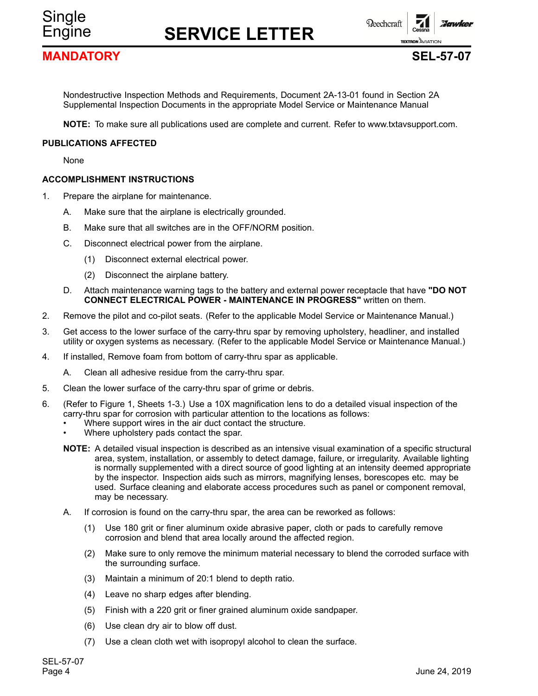**Beechcraft** 

## **MANDATORY SEL-57-07**

Single

**TEXTRON** AVIATION

**Floruske** 

Nondestructive Inspection Methods and Requirements, Document 2A-13-01 found in Section 2A Supplemental Inspection Documents in the appropriate Model Service or Maintenance Manual

**NOTE:** To make sure all publications used are complete and current. Refer to www.txtavsupport.com.

#### **PUBLICATIONS AFFECTED**

None

#### **ACCOMPLISHMENT INSTRUCTIONS**

- 1. Prepare the airplane for maintenance.
	- A. Make sure that the airplane is electrically grounded.
	- B. Make sure that all switches are in the OFF/NORM position.
	- C. Disconnect electrical power from the airplane.
		- (1) Disconnect external electrical power.
		- (2) Disconnect the airplane battery.
	- D. Attach maintenance warning tags to the battery and external power receptacle that have **"DO NOT CONNECT ELECTRICAL POWER - MAINTENANCE IN PROGRESS"** written on them.
- 2. Remove the pilot and co-pilot seats. (Refer to the applicable Model Service or Maintenance Manual.)
- 3. Get access to the lower surface of the carry-thru spar by removing upholstery, headliner, and installed utility or oxygen systems as necessary. (Refer to the applicable Model Service or Maintenance Manual.)
- 4. If installed, Remove foam from bottom of carry-thru spar as applicable.
	- A. Clean all adhesive residue from the carry-thru spar.
- 5. Clean the lower surface of the carry-thru spar of grime or debris.
- 6. (Refer to Figure 1, Sheets 1-3.) Use <sup>a</sup> 10X magnification lens to do <sup>a</sup> detailed visual inspection of the carry-thru spar for corrosion with particular attention to the locations as follows:
	- •Where support wires in the air duct contact the structure.
	- •Where upholstery pads contact the spar.
	- **NOTE:** A detailed visual inspection is described as an intensive visual examination of <sup>a</sup> specific structural area, system, installation, or assembly to detect damage, failure, or irregularity. Available lighting is normally supplemented with <sup>a</sup> direct source of good lighting at an intensity deemed appropriate by the inspector. Inspection aids such as mirrors, magnifying lenses, borescopes etc. may be used. Surface cleaning and elaborate access procedures such as panel or component removal, may be necessary.
	- A. If corrosion is found on the carry-thru spar, the area can be reworked as follows:
		- (1) Use 180 grit or finer aluminum oxide abrasive paper, cloth or pads to carefully remove corrosion and blend that area locally around the affected region.
		- (2) Make sure to only remove the minimum material necessary to blend the corroded surface with the surrounding surface.
		- (3) Maintain <sup>a</sup> minimum of 20:1 blend to depth ratio.
		- (4) Leave no sharp edges after blending.
		- (5) Finish with <sup>a</sup> 220 grit or finer grained aluminum oxide sandpaper.
		- (6) Use clean dry air to blow off dust.
		- (7) Use <sup>a</sup> clean cloth wet with isopropyl alcohol to clean the surface.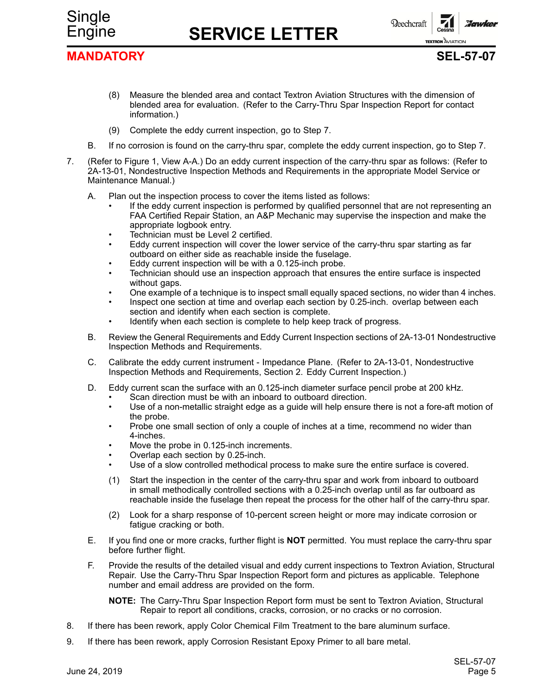



## **MANDATORY SEL-57-07**

- (8) Measure the blended area and contact Textron Aviation Structures with the dimension of blended area for evaluation. (Refer to the Carry-Thru Spar Inspection Report for contact information.)
- (9) Complete the eddy current inspection, go to Step 7.
- B. If no corrosion is found on the carry-thru spar, complete the eddy current inspection, go to Step 7.
- 7. (Refer to Figure 1, View A-A.) Do an eddy current inspection of the carry-thru spar as follows: (Refer to 2A-13-01, Nondestructive Inspection Methods and Requirements in the appropriate Model Service or Maintenance Manual.)
	- A. Plan out the inspection process to cover the items listed as follows:
		- • If the eddy current inspection is performed by qualified personnel that are not representing an FAA Certified Repair Station, an A&P Mechanic may supervise the inspection and make the appropriate logbook entry.
		- •Technician must be Level 2 certified.
		- • Eddy current inspection will cover the lower service of the carry-thru spar starting as far outboard on either side as reachable inside the fuselage.
		- •Eddy current inspection will be with <sup>a</sup> 0.125-inch probe.
		- • Technician should use an inspection approach that ensures the entire surface is inspected without gaps.
		- •One example of <sup>a</sup> technique is to inspect small equally spaced sections, no wider than 4 inches.
		- • Inspect one section at time and overlap each section by 0.25-inch. overlap between each section and identify when each section is complete.
		- •Identify when each section is complete to help keep track of progress.
	- B. Review the General Requirements and Eddy Current Inspection sections of 2A-13-01 Nondestructive Inspection Methods and Requirements.
	- C. Calibrate the eddy current instrument Impedance Plane. (Refer to 2A-13-01, Nondestructive Inspection Methods and Requirements, Section 2. Eddy Current Inspection.)
	- D. Eddy current scan the surface with an 0.125-inch diameter surface pencil probe at 200 kHz.
		- •Scan direction must be with an inboard to outboard direction.
		- • Use of <sup>a</sup> non-metallic straight edge as <sup>a</sup> guide will help ensure there is not <sup>a</sup> fore-aft motion of the probe.
		- • Probe one small section of only <sup>a</sup> couple of inches at <sup>a</sup> time, recommend no wider than 4-inches.
		- •Move the probe in 0.125-inch increments.
		- •Overlap each section by 0.25-inch.
		- •Use of <sup>a</sup> slow controlled methodical process to make sure the entire surface is covered.
		- (1) Start the inspection in the center of the carry-thru spar and work from inboard to outboard in small methodically controlled sections with <sup>a</sup> 0.25-inch overlap until as far outboard as reachable inside the fuselage then repeat the process for the other half of the carry-thru spar.
		- (2) Look for <sup>a</sup> sharp response of 10-percent screen height or more may indicate corrosion or fatigue cracking or both.
	- E. If you find one or more cracks, further flight is **NOT** permitted. You must replace the carry-thru spar before further flight.
	- F. Provide the results of the detailed visual and eddy current inspections to Textron Aviation, Structural Repair. Use the Carry-Thru Spar Inspection Report form and pictures as applicable. Telephone number and email address are provided on the form.

**NOTE:** The Carry-Thru Spar Inspection Report form must be sent to Textron Aviation, Structural Repair to report all conditions, cracks, corrosion, or no cracks or no corrosion.

- 8. If there has been rework, apply Color Chemical Film Treatment to the bare aluminum surface.
- 9. If there has been rework, apply Corrosion Resistant Epoxy Primer to all bare metal.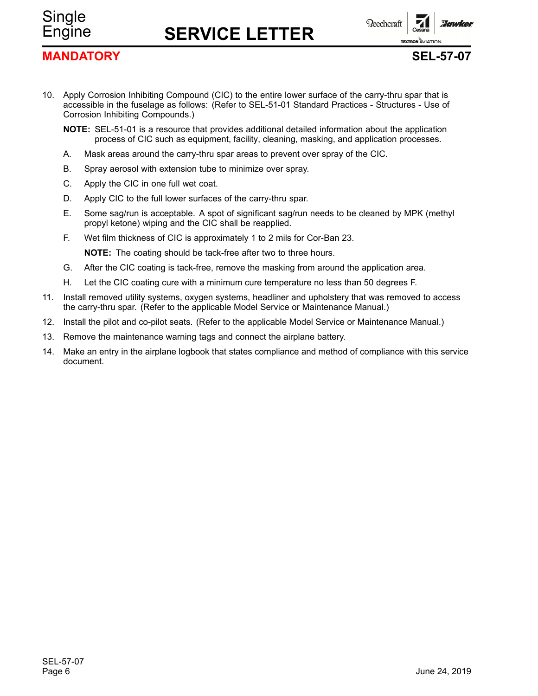**Beechcraft** 

# **MANDATORY SEL-57-07**

Single

**TEXTRON** AVIATION

**Florunkey** 

- 10. Apply Corrosion Inhibiting Compound (CIC) to the entire lower surface of the carry-thru spar that is accessible in the fuselage as follows: (Refer to SEL-51-01 Standard Practices - Structures - Use of Corrosion Inhibiting Compounds.)
	- **NOTE:** SEL-51-01 is <sup>a</sup> resource that provides additional detailed information about the application process of CIC such as equipment, facility, cleaning, masking, and application processes.
	- A. Mask areas around the carry-thru spar areas to prevent over spray of the CIC.
	- B. Spray aerosol with extension tube to minimize over spray.
	- C. Apply the CIC in one full wet coat.
	- D. Apply CIC to the full lower surfaces of the carry-thru spar.
	- E. Some sag/run is acceptable. A spot of significant sag/run needs to be cleaned by MPK (methyl propyl ketone) wiping and the CIC shall be reapplied.
	- F. Wet film thickness of CIC is approximately 1 to 2 mils for Cor-Ban 23.

**NOTE:** The coating should be tack-free after two to three hours.

- G. After the CIC coating is tack-free, remove the masking from around the application area.
- H. Let the CIC coating cure with <sup>a</sup> minimum cure temperature no less than 50 degrees F.
- 11. Install removed utility systems, oxygen systems, headliner and upholstery that was removed to access the carry-thru spar. (Refer to the applicable Model Service or Maintenance Manual.)
- 12. Install the pilot and co-pilot seats. (Refer to the applicable Model Service or Maintenance Manual.)
- 13. Remove the maintenance warning tags and connect the airplane battery.
- 14. Make an entry in the airplane logbook that states compliance and method of compliance with this service document.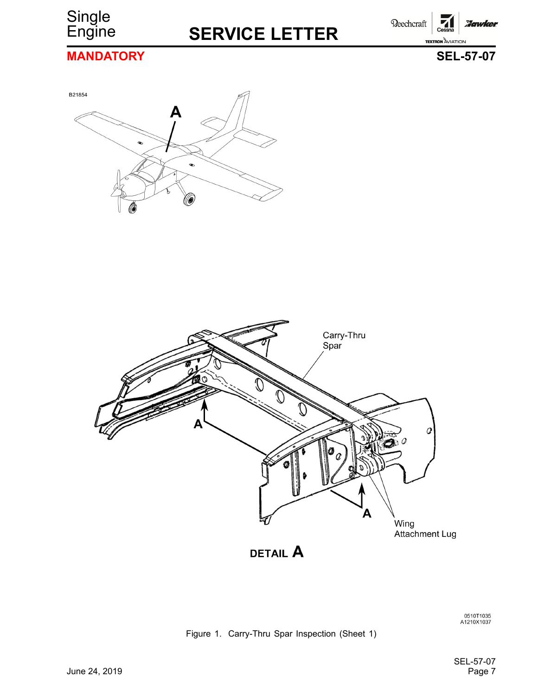

Beechcraft **Hawker TEXTRON AVIATION** 

# **MANDATORY SEL-57-07**





0510T1035<br>A1210X1037

## Figure 1. Carry-Thru Spar Inspection (Sheet 1)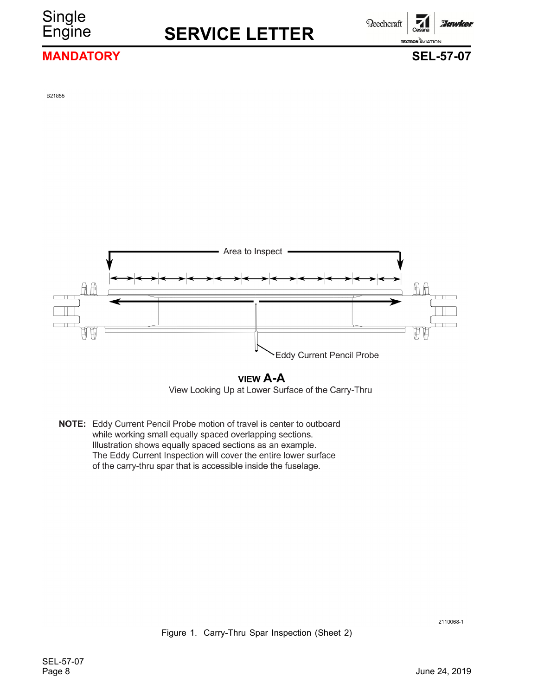# **Single**

# Engine **SERVICE LETTER**

**Reechcraft** 

## Hawkel **TEXTRON** AVIATION

## **MANDATORY SEL-57-07**

B21855



**VIEW A-A** View Looking Up at Lower Surface of the Carry-Thru

NOTE: Eddy Current Pencil Probe motion of travel is center to outboard while working small equally spaced overlapping sections. Illustration shows equally spaced sections as an example. The Eddy Current Inspection will cover the entire lower surface of the carry-thru spar that is accessible inside the fuselage.

2110068-1

Figure 1. Carry-Thru Spar Inspection (Sheet 2)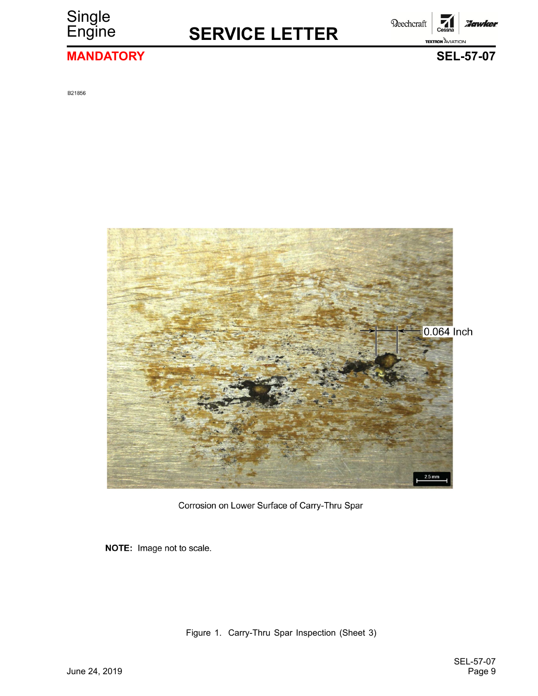

Beechcraft **Hawker TEXTRON** AVIATION

# **MANDATORY SEL-57-07**

B21856



Corrosion on Lower Surface of Carry-Thru Spar

NOTE: Image not to scale.

Figure 1. Carry-Thru Spar Inspection (Sheet 3)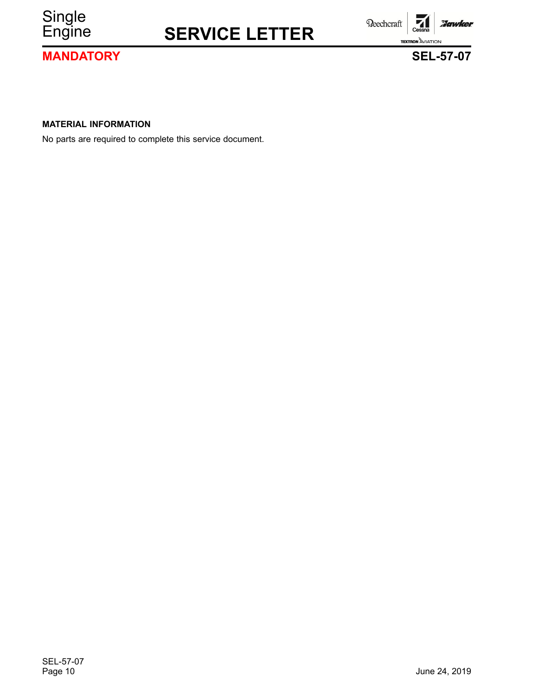

**MANDATORY SEL-57-07**

**TEXTRON AVIATION** 

Beechcraft

**Hawker** 

**MATERIAL INFORMATION**

No parts are required to complete this service document.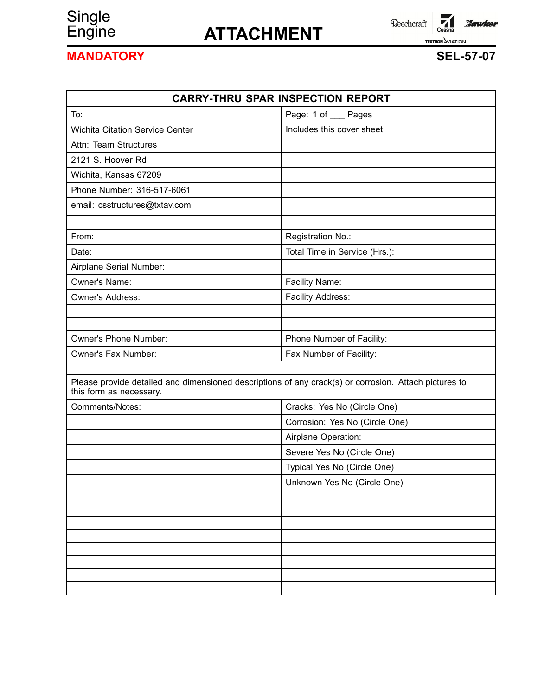# Single<br>Engine

# Engine **ATTACHMENT**

 $\overline{\phantom{a}}$ Cessna Reechcraft **Hawker TEXTRON AVIATION** 

# **MANDATORY SEL-57-07**

| <b>CARRY-THRU SPAR INSPECTION REPORT</b>                                                                                         |                                |  |  |
|----------------------------------------------------------------------------------------------------------------------------------|--------------------------------|--|--|
| To:                                                                                                                              | Page: 1 of __ Pages            |  |  |
| <b>Wichita Citation Service Center</b>                                                                                           | Includes this cover sheet      |  |  |
| Attn: Team Structures                                                                                                            |                                |  |  |
| 2121 S. Hoover Rd                                                                                                                |                                |  |  |
| Wichita, Kansas 67209                                                                                                            |                                |  |  |
| Phone Number: 316-517-6061                                                                                                       |                                |  |  |
| email: csstructures@txtav.com                                                                                                    |                                |  |  |
| From:                                                                                                                            | Registration No.:              |  |  |
| Date:                                                                                                                            | Total Time in Service (Hrs.):  |  |  |
| Airplane Serial Number:                                                                                                          |                                |  |  |
| Owner's Name:                                                                                                                    | Facility Name:                 |  |  |
| Owner's Address:                                                                                                                 | Facility Address:              |  |  |
|                                                                                                                                  |                                |  |  |
|                                                                                                                                  |                                |  |  |
| Owner's Phone Number:                                                                                                            | Phone Number of Facility:      |  |  |
| Owner's Fax Number:                                                                                                              | Fax Number of Facility:        |  |  |
|                                                                                                                                  |                                |  |  |
| Please provide detailed and dimensioned descriptions of any crack(s) or corrosion. Attach pictures to<br>this form as necessary. |                                |  |  |
| Comments/Notes:                                                                                                                  | Cracks: Yes No (Circle One)    |  |  |
|                                                                                                                                  | Corrosion: Yes No (Circle One) |  |  |
|                                                                                                                                  | Airplane Operation:            |  |  |
|                                                                                                                                  | Severe Yes No (Circle One)     |  |  |
|                                                                                                                                  | Typical Yes No (Circle One)    |  |  |
|                                                                                                                                  | Unknown Yes No (Circle One)    |  |  |
|                                                                                                                                  |                                |  |  |
|                                                                                                                                  |                                |  |  |
|                                                                                                                                  |                                |  |  |
|                                                                                                                                  |                                |  |  |
|                                                                                                                                  |                                |  |  |
|                                                                                                                                  |                                |  |  |
|                                                                                                                                  |                                |  |  |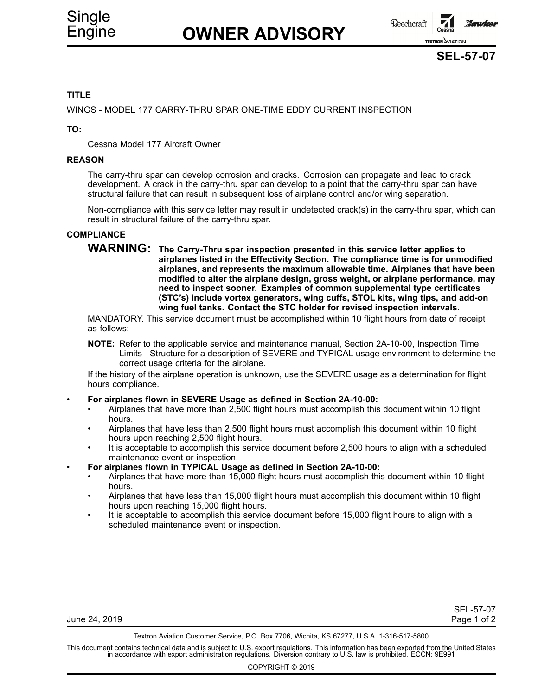

**SEL-57-07**

## **TITLE**

WINGS - MODEL 177 CARRY-THRU SPAR ONE-TIME EDDY CURRENT INSPECTION

**TO:**

•

Cessna Model 177 Aircraft Owner

#### **REASON**

The carry-thru spar can develop corrosion and cracks. Corrosion can propagate and lead to crack development. A crack in the carry-thru spar can develop to a point that the carry-thru spar can have structural failure that can result in subsequent loss of airplane control and/or wing separation.

Non-compliance with this service letter may result in undetected crack(s) in the carry-thru spar, which can result in structural failure of the carry-thru spar.

### **COMPLIANCE**

**WARNING: The Carry-Thru spar inspection presented in this service letter applies to airplanes listed in the Effectivity Section. The compliance time is for unmodified airplanes, and represents the maximum allowable time. Airplanes that have been modified to alter the airplane design, gross weight, or airplane performance, may need to inspect sooner. Examples of common supplemental type certificates (STC's) include vortex generators, wing cuffs, STOL kits, wing tips, and add-on wing fuel tanks. Contact the STC holder for revised inspection intervals.**

MANDATORY. This service document must be accomplished within 10 flight hours from date of receipt as follows:

**NOTE:** Refer to the applicable service and maintenance manual, Section 2A-10-00, Inspection Time Limits - Structure for <sup>a</sup> description of SEVERE and TYPICAL usage environment to determine the correct usage criteria for the airplane.

If the history of the airplane operation is unknown, use the SEVERE usage as <sup>a</sup> determination for flight hours compliance.

#### **For airplanes flown in SEVERE Usage as defined in Section 2A-10-00:**

- • Airplanes that have more than 2,500 flight hours must accomplish this document within 10 flight hours.
- • Airplanes that have less than 2,500 flight hours must accomplish this document within 10 flight hours upon reaching 2,500 flight hours.
- • It is acceptable to accomplish this service document before 2,500 hours to align with <sup>a</sup> scheduled maintenance event or inspection.
- • **For airplanes flown in TYPICAL Usage as defined in Section 2A-10-00:**
	- • Airplanes that have more than 15,000 flight hours must accomplish this document within 10 flight hours.
	- • Airplanes that have less than 15,000 flight hours must accomplish this document within 10 flight hours upon reaching 15,000 flight hours.
	- • It is acceptable to accomplish this service document before 15,000 flight hours to align with <sup>a</sup> scheduled maintenance event or inspection.

| June 24, 2019 | Page 1 of 2 |
|---------------|-------------|
|---------------|-------------|

SEL-57-07

Textron Aviation Customer Service, P.O. Box 7706, Wichita, KS 67277, U.S.A. 1-316-517-5800

This document contains technical data and is subject to U.S. export regulations. This information has been exported from the United States<br>in accordance with export administration regulations. Diversion contrary to U.S. la

COPYRIGHT © 2019